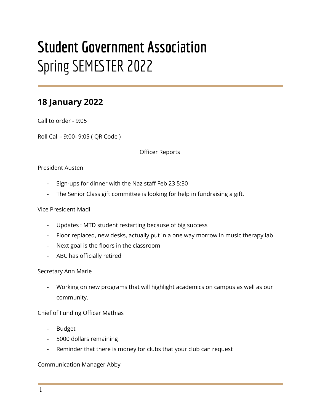# **Student Government Association** Spring SEMESTER 2022

## **18 January 2022**

Call to order - 9:05

Roll Call - 9:00- 9:05 ( QR Code )

Officer Reports

#### President Austen

- Sign-ups for dinner with the Naz staff Feb 23 5:30
- The Senior Class gift committee is looking for help in fundraising a gift.

#### Vice President Madi

- Updates : MTD student restarting because of big success
- Floor replaced, new desks, actually put in a one way morrow in music therapy lab
- Next goal is the floors in the classroom
- ABC has officially retired

#### Secretary Ann Marie

- Working on new programs that will highlight academics on campus as well as our community.

#### Chief of Funding Officer Mathias

- Budget
- 5000 dollars remaining
- Reminder that there is money for clubs that your club can request

#### Communication Manager Abby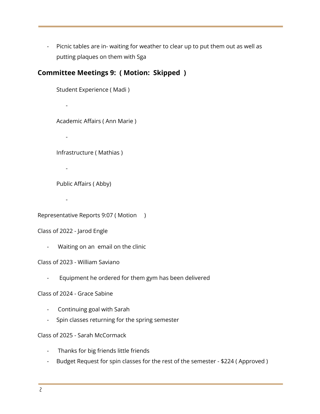- Picnic tables are in- waiting for weather to clear up to put them out as well as putting plaques on them with Sga

### **Committee Meetings 9: ( Motion: Skipped )**

Student Experience ( Madi ) - Academic Affairs ( Ann Marie ) - Infrastructure ( Mathias ) - Public Affairs ( Abby) -

Representative Reports 9:07 ( Motion )

Class of 2022 - Jarod Engle

- Waiting on an email on the clinic

Class of 2023 - William Saviano

Equipment he ordered for them gym has been delivered

Class of 2024 - Grace Sabine

- Continuing goal with Sarah
- Spin classes returning for the spring semester

Class of 2025 - Sarah McCormack

- Thanks for big friends little friends
- Budget Request for spin classes for the rest of the semester \$224 ( Approved )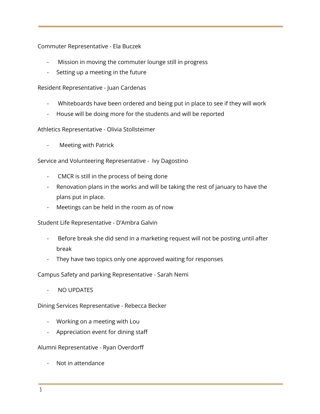Commuter Representative - Ela Buczek

- Mission in moving the commuter lounge still in progress
- Setting up a meeting in the future

Resident Representative - Juan Cardenas

- Whiteboards have been ordered and being put in place to see if they will work
- House will be doing more for the students and will be reported

Athletics Representative - Olivia Stollsteimer

Meeting with Patrick

Service and Volunteering Representative - Ivy Dagostino

- CMCR is still in the process of being done
- Renovation plans in the works and will be taking the rest of january to have the plans put in place.
- Meetings can be held in the room as of now

Student Life Representative - D'Ambra Galvin

- Before break she did send in a marketing request will not be posting until after break
- They have two topics only one approved waiting for responses

Campus Safety and parking Representative - Sarah Nemi

- NO UPDATES

Dining Services Representative - Rebecca Becker

- Working on a meeting with Lou
- Appreciation event for dining staff

Alumni Representative - Ryan Overdorff

- Not in attendance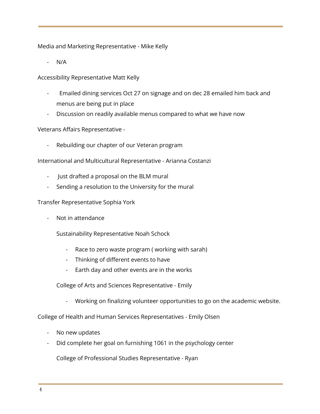Media and Marketing Representative - Mike Kelly

 $N/A$ 

Accessibility Representative Matt Kelly

- Emailed dining services Oct 27 on signage and on dec 28 emailed him back and menus are being put in place
- Discussion on readily available menus compared to what we have now

Veterans Affairs Representative -

Rebuilding our chapter of our Veteran program

International and Multicultural Representative - Arianna Costanzi

- Just drafted a proposal on the BLM mural
- Sending a resolution to the University for the mural

#### Transfer Representative Sophia York

- Not in attendance

Sustainability Representative Noah Schock

- Race to zero waste program ( working with sarah)
- Thinking of different events to have
- Earth day and other events are in the works

College of Arts and Sciences Representative - Emily

- Working on finalizing volunteer opportunities to go on the academic website.

College of Health and Human Services Representatives - Emily Olsen

- No new updates
- Did complete her goal on furnishing 1061 in the psychology center

College of Professional Studies Representative - Ryan